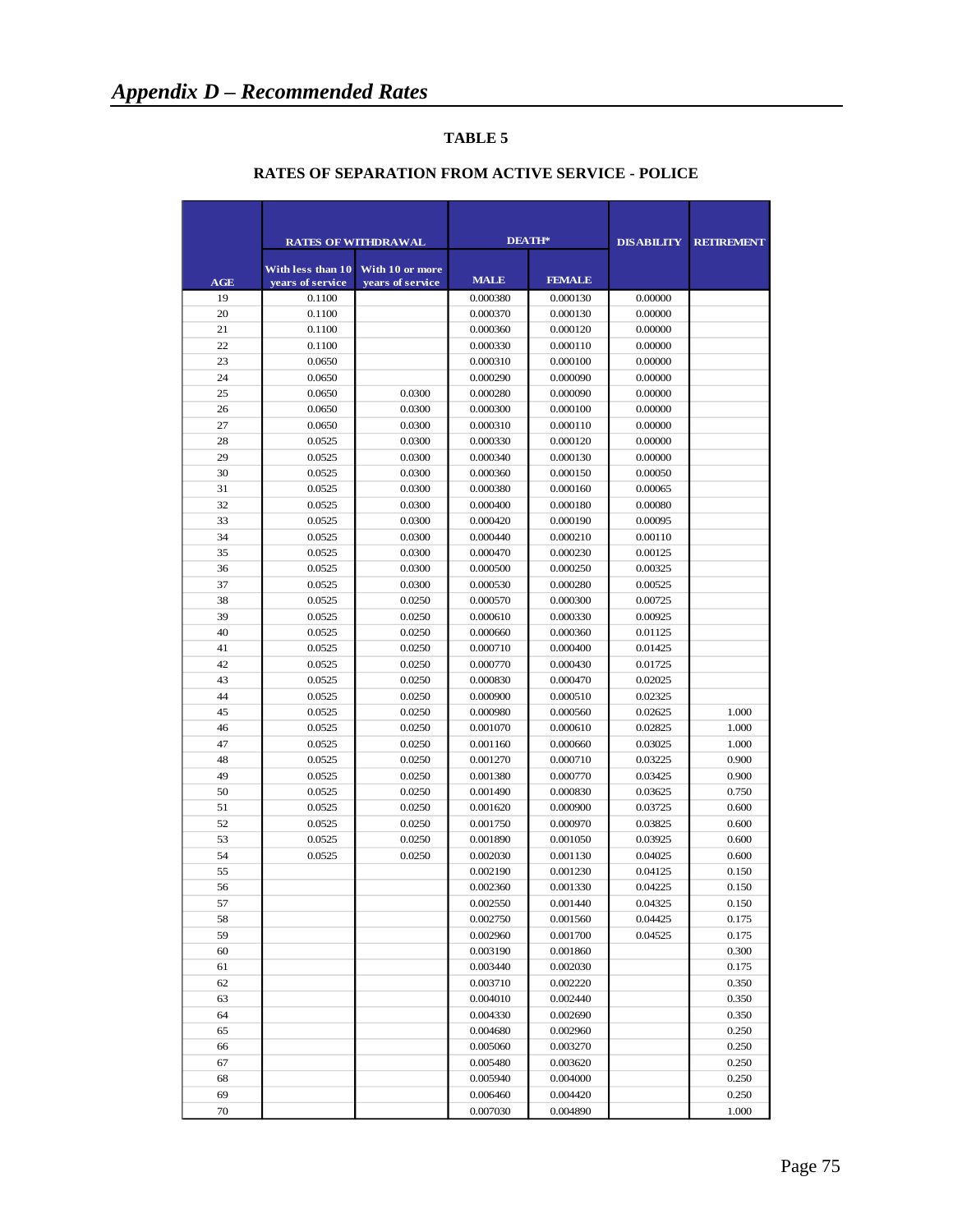|          |                   | <b>RATES OF WITHDRAWAL</b> | <b>DEATH*</b>        |                      | <b>DISABILITY</b>  | <b>RETIREMENT</b> |
|----------|-------------------|----------------------------|----------------------|----------------------|--------------------|-------------------|
|          | With less than 10 | With 10 or more            |                      |                      |                    |                   |
| AGE      | vears of service  | vears of service           | <b>MALE</b>          | <b>FEMALE</b>        |                    |                   |
| 19       | 0.1100            |                            | 0.000380             | 0.000130             | 0.00000            |                   |
| 20       | 0.1100            |                            | 0.000370             | 0.000130             | 0.00000            |                   |
| 21<br>22 | 0.1100            |                            | 0.000360<br>0.000330 | 0.000120<br>0.000110 | 0.00000<br>0.00000 |                   |
| 23       | 0.1100<br>0.0650  |                            | 0.000310             | 0.000100             | 0.00000            |                   |
| 24       | 0.0650            |                            | 0.000290             | 0.000090             | 0.00000            |                   |
| 25       | 0.0650            | 0.0300                     | 0.000280             | 0.000090             | 0.00000            |                   |
| 26       | 0.0650            | 0.0300                     | 0.000300             | 0.000100             | 0.00000            |                   |
| 27       | 0.0650            | 0.0300                     | 0.000310             | 0.000110             | 0.00000            |                   |
| 28       | 0.0525            | 0.0300                     | 0.000330             | 0.000120             | 0.00000            |                   |
| 29       | 0.0525            | 0.0300                     | 0.000340             | 0.000130             | 0.00000            |                   |
| 30       | 0.0525            | 0.0300                     | 0.000360             | 0.000150             | 0.00050            |                   |
| 31       | 0.0525            | 0.0300                     | 0.000380             | 0.000160             | 0.00065            |                   |
| 32       | 0.0525            | 0.0300                     | 0.000400             | 0.000180             | 0.00080            |                   |
| 33       | 0.0525            | 0.0300                     | 0.000420             | 0.000190             | 0.00095            |                   |
| 34       | 0.0525            | 0.0300                     | 0.000440             | 0.000210             | 0.00110            |                   |
| 35       | 0.0525            | 0.0300                     | 0.000470             | 0.000230             | 0.00125            |                   |
| 36       | 0.0525            | 0.0300                     | 0.000500             | 0.000250             | 0.00325            |                   |
| 37       | 0.0525            | 0.0300                     | 0.000530             | 0.000280             | 0.00525            |                   |
| 38       | 0.0525            | 0.0250                     | 0.000570             | 0.000300             | 0.00725            |                   |
| 39       | 0.0525            | 0.0250                     | 0.000610             | 0.000330             | 0.00925            |                   |
| 40       | 0.0525            | 0.0250                     | 0.000660             | 0.000360             | 0.01125            |                   |
| 41       | 0.0525            | 0.0250                     | 0.000710             | 0.000400             | 0.01425            |                   |
| 42       | 0.0525            | 0.0250                     | 0.000770             | 0.000430             | 0.01725            |                   |
| 43       | 0.0525            | 0.0250                     | 0.000830             | 0.000470             | 0.02025            |                   |
| 44       | 0.0525            | 0.0250                     | 0.000900             | 0.000510             | 0.02325            |                   |
| 45       | 0.0525            | 0.0250                     | 0.000980             | 0.000560             | 0.02625            | 1.000             |
| 46       | 0.0525            | 0.0250                     | 0.001070             | 0.000610             | 0.02825            | 1.000             |
| 47       | 0.0525            | 0.0250                     | 0.001160             | 0.000660             | 0.03025            | 1.000             |
| 48       | 0.0525            | 0.0250                     | 0.001270             | 0.000710             | 0.03225            | 0.900             |
| 49       | 0.0525            | 0.0250                     | 0.001380             | 0.000770             | 0.03425            | 0.900             |
| 50       | 0.0525            | 0.0250                     | 0.001490             | 0.000830             | 0.03625            | 0.750             |
| 51       | 0.0525            | 0.0250                     | 0.001620             | 0.000900             | 0.03725            | 0.600             |
| 52       | 0.0525            | 0.0250                     | 0.001750             | 0.000970             | 0.03825            | 0.600             |
| 53       | 0.0525            | 0.0250                     | 0.001890             | 0.001050             | 0.03925            | 0.600             |
| 54       | 0.0525            | 0.0250                     | 0.002030             | 0.001130             | 0.04025            | 0.600             |
| 55       |                   |                            | 0.002190             | 0.001230             | 0.04125            | 0.150             |
| 56       |                   |                            | 0.002360             | 0.001330             | 0.04225            | 0.150             |
| 57       |                   |                            | 0.002550             | 0.001440             | 0.04325            | 0.150             |
| 58       |                   |                            | 0.002750             | 0.001560             | 0.04425            | 0.175             |
| 59       |                   |                            | 0.002960             | 0.001700             | 0.04525            | 0.175             |
| 60       |                   |                            | 0.003190             | 0.001860             |                    | 0.300             |
| 61       |                   |                            | 0.003440             | 0.002030             |                    | 0.175             |
| 62       |                   |                            | 0.003710             | 0.002220             |                    | 0.350             |
| 63       |                   |                            | 0.004010             | 0.002440             |                    | 0.350             |
| 64       |                   |                            | 0.004330             | 0.002690             |                    | 0.350             |
| 65       |                   |                            | 0.004680             | 0.002960             |                    | 0.250             |
| 66       |                   |                            | 0.005060             | 0.003270             |                    | 0.250             |
| 67       |                   |                            | 0.005480             | 0.003620             |                    | 0.250             |
| 68       |                   |                            | 0.005940             | 0.004000             |                    | 0.250             |
| 69       |                   |                            | 0.006460             | 0.004420             |                    | 0.250             |
| 70       |                   |                            | 0.007030             | 0.004890             |                    | 1.000             |

### **RATES OF SEPARATION FROM ACTIVE SERVICE - POLICE**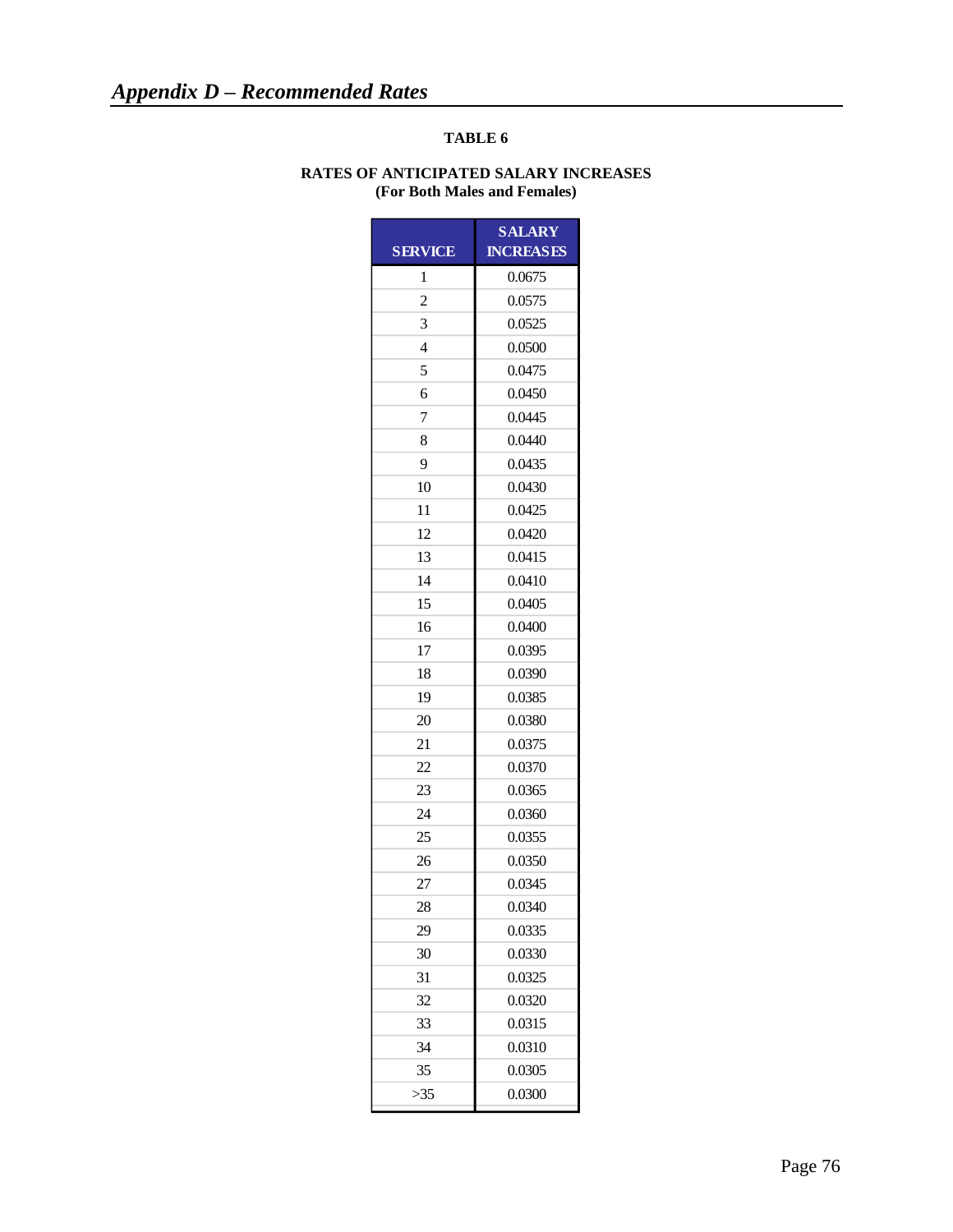#### **RATES OF ANTICIPATED SALARY INCREASES (For Both Males and Females)**

|                         | <b>SALARY</b>    |
|-------------------------|------------------|
| <b>SERVICE</b>          | <b>INCREASES</b> |
| 1                       | 0.0675           |
| $\overline{\mathbf{c}}$ | 0.0575           |
| 3                       | 0.0525           |
| 4                       | 0.0500           |
| 5                       | 0.0475           |
| 6                       | 0.0450           |
| 7                       | 0.0445           |
| 8                       | 0.0440           |
| 9                       | 0.0435           |
| 10                      | 0.0430           |
| 11                      | 0.0425           |
| 12                      | 0.0420           |
| 13                      | 0.0415           |
| 14                      | 0.0410           |
| 15                      | 0.0405           |
| 16                      | 0.0400           |
| 17                      | 0.0395           |
| 18                      | 0.0390           |
| 19                      | 0.0385           |
| 20                      | 0.0380           |
| 21                      | 0.0375           |
| 22                      | 0.0370           |
| 23                      | 0.0365           |
| 24                      | 0.0360           |
| 25                      | 0.0355           |
| 26                      | 0.0350           |
| 27                      | 0.0345           |
| 28                      | 0.0340           |
| 29                      | 0.0335           |
| 30                      | 0.0330           |
| 31                      | 0.0325           |
| 32                      | 0.0320           |
| 33                      | 0.0315           |
| 34                      | 0.0310           |
| 35                      | 0.0305           |
| $>35$                   | 0.0300           |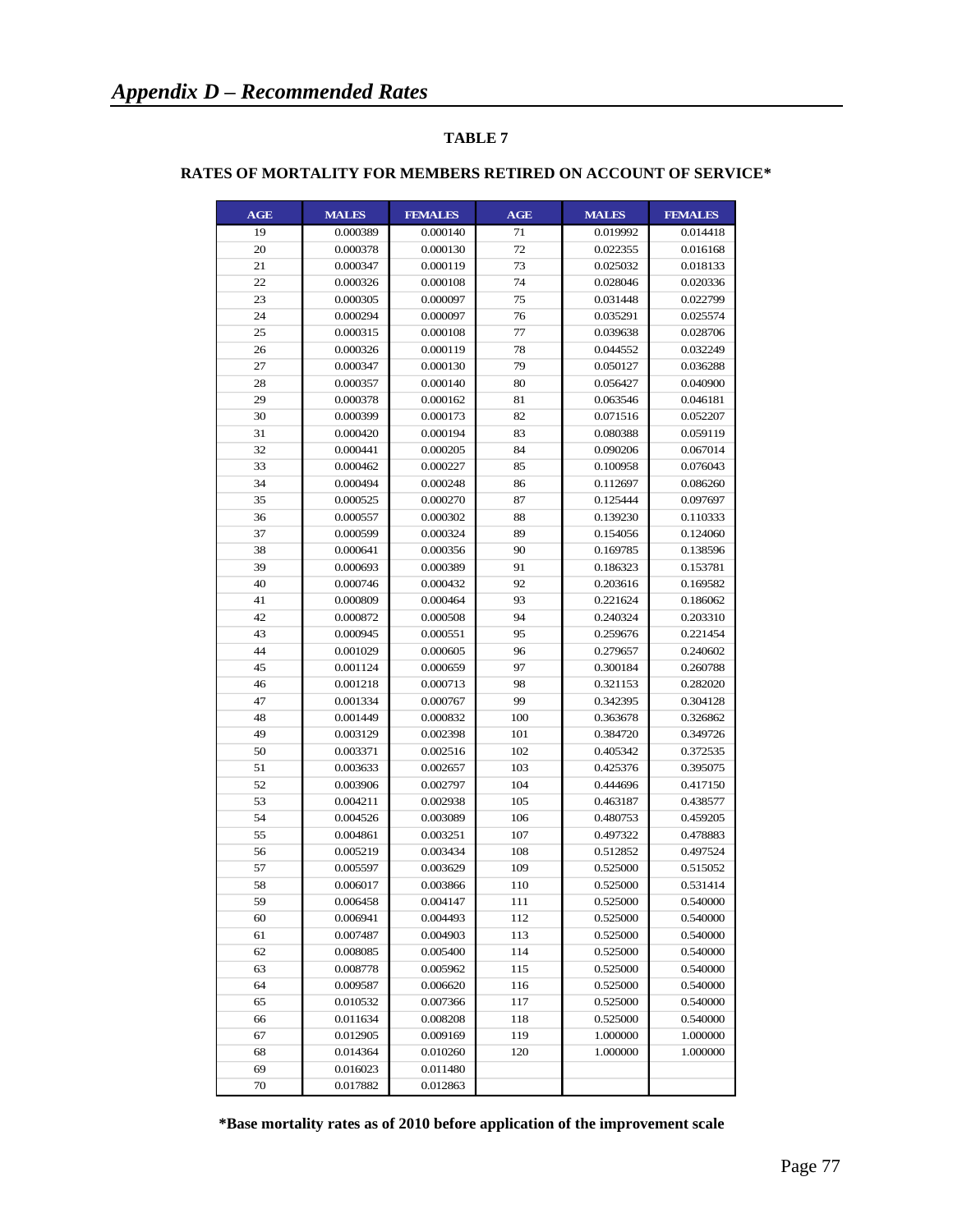| <b>AGE</b> | <b>MALES</b> | <b>FEMALES</b> | AGE | <b>MALES</b> | <b>FEMALES</b> |
|------------|--------------|----------------|-----|--------------|----------------|
| 19         | 0.000389     | 0.000140       | 71  | 0.019992     | 0.014418       |
| 20         | 0.000378     | 0.000130       | 72  | 0.022355     | 0.016168       |
| 21         | 0.000347     | 0.000119       | 73  | 0.025032     | 0.018133       |
| 22         | 0.000326     | 0.000108       | 74  | 0.028046     | 0.020336       |
| 23         | 0.000305     | 0.000097       | 75  | 0.031448     | 0.022799       |
| 24         | 0.000294     | 0.000097       | 76  | 0.035291     | 0.025574       |
| 25         | 0.000315     | 0.000108       | 77  | 0.039638     | 0.028706       |
| 26         | 0.000326     | 0.000119       | 78  | 0.044552     | 0.032249       |
| 27         | 0.000347     | 0.000130       | 79  | 0.050127     | 0.036288       |
| 28         | 0.000357     | 0.000140       | 80  | 0.056427     | 0.040900       |
| 29         | 0.000378     | 0.000162       | 81  | 0.063546     | 0.046181       |
| 30         | 0.000399     | 0.000173       | 82  | 0.071516     | 0.052207       |
| 31         | 0.000420     | 0.000194       | 83  | 0.080388     | 0.059119       |
| 32         | 0.000441     | 0.000205       | 84  | 0.090206     | 0.067014       |
| 33         | 0.000462     | 0.000227       | 85  | 0.100958     | 0.076043       |
| 34         | 0.000494     | 0.000248       | 86  | 0.112697     | 0.086260       |
| 35         | 0.000525     | 0.000270       | 87  | 0.125444     | 0.097697       |
| 36         | 0.000557     | 0.000302       | 88  | 0.139230     | 0.110333       |
| 37         | 0.000599     | 0.000324       | 89  | 0.154056     | 0.124060       |
| 38         | 0.000641     | 0.000356       | 90  | 0.169785     | 0.138596       |
| 39         | 0.000693     | 0.000389       | 91  | 0.186323     | 0.153781       |
| 40         | 0.000746     | 0.000432       | 92  | 0.203616     | 0.169582       |
| 41         | 0.000809     | 0.000464       | 93  | 0.221624     | 0.186062       |
| 42         | 0.000872     | 0.000508       | 94  | 0.240324     | 0.203310       |
| 43         | 0.000945     | 0.000551       | 95  | 0.259676     | 0.221454       |
| 44         | 0.001029     | 0.000605       | 96  | 0.279657     | 0.240602       |
| 45         | 0.001124     | 0.000659       | 97  | 0.300184     | 0.260788       |
| 46         | 0.001218     | 0.000713       | 98  | 0.321153     | 0.282020       |
| 47         | 0.001334     | 0.000767       | 99  | 0.342395     | 0.304128       |
| 48         | 0.001449     | 0.000832       | 100 | 0.363678     | 0.326862       |
| 49         | 0.003129     | 0.002398       | 101 | 0.384720     | 0.349726       |
| 50         | 0.003371     | 0.002516       | 102 | 0.405342     | 0.372535       |
| 51         | 0.003633     | 0.002657       | 103 | 0.425376     | 0.395075       |
| 52         | 0.003906     | 0.002797       | 104 | 0.444696     | 0.417150       |
| 53         | 0.004211     | 0.002938       | 105 | 0.463187     | 0.438577       |
| 54         | 0.004526     | 0.003089       | 106 | 0.480753     | 0.459205       |
| 55         | 0.004861     | 0.003251       | 107 | 0.497322     | 0.478883       |
| 56         | 0.005219     | 0.003434       | 108 | 0.512852     | 0.497524       |
| 57         | 0.005597     | 0.003629       | 109 | 0.525000     | 0.515052       |
| 58         | 0.006017     | 0.003866       | 110 | 0.525000     | 0.531414       |
| 59         | 0.006458     | 0.004147       | 111 | 0.525000     | 0.540000       |
| 60         | 0.006941     | 0.004493       | 112 | 0.525000     | 0.540000       |
| 61         | 0.007487     | 0.004903       | 113 | 0.525000     | 0.540000       |
| 62         | 0.008085     | 0.005400       | 114 | 0.525000     | 0.540000       |
| 63         | 0.008778     | 0.005962       | 115 | 0.525000     | 0.540000       |
| 64         | 0.009587     | 0.006620       | 116 | 0.525000     | 0.540000       |
| 65         | 0.010532     | 0.007366       | 117 | 0.525000     | 0.540000       |
| 66         | 0.011634     | 0.008208       | 118 | 0.525000     | 0.540000       |
| 67         | 0.012905     | 0.009169       | 119 | 1.000000     | 1.000000       |
| 68         | 0.014364     | 0.010260       | 120 | 1.000000     | 1.000000       |
| 69         | 0.016023     | 0.011480       |     |              |                |
| 70         |              |                |     |              |                |
|            | 0.017882     | 0.012863       |     |              |                |

#### **RATES OF MORTALITY FOR MEMBERS RETIRED ON ACCOUNT OF SERVICE\***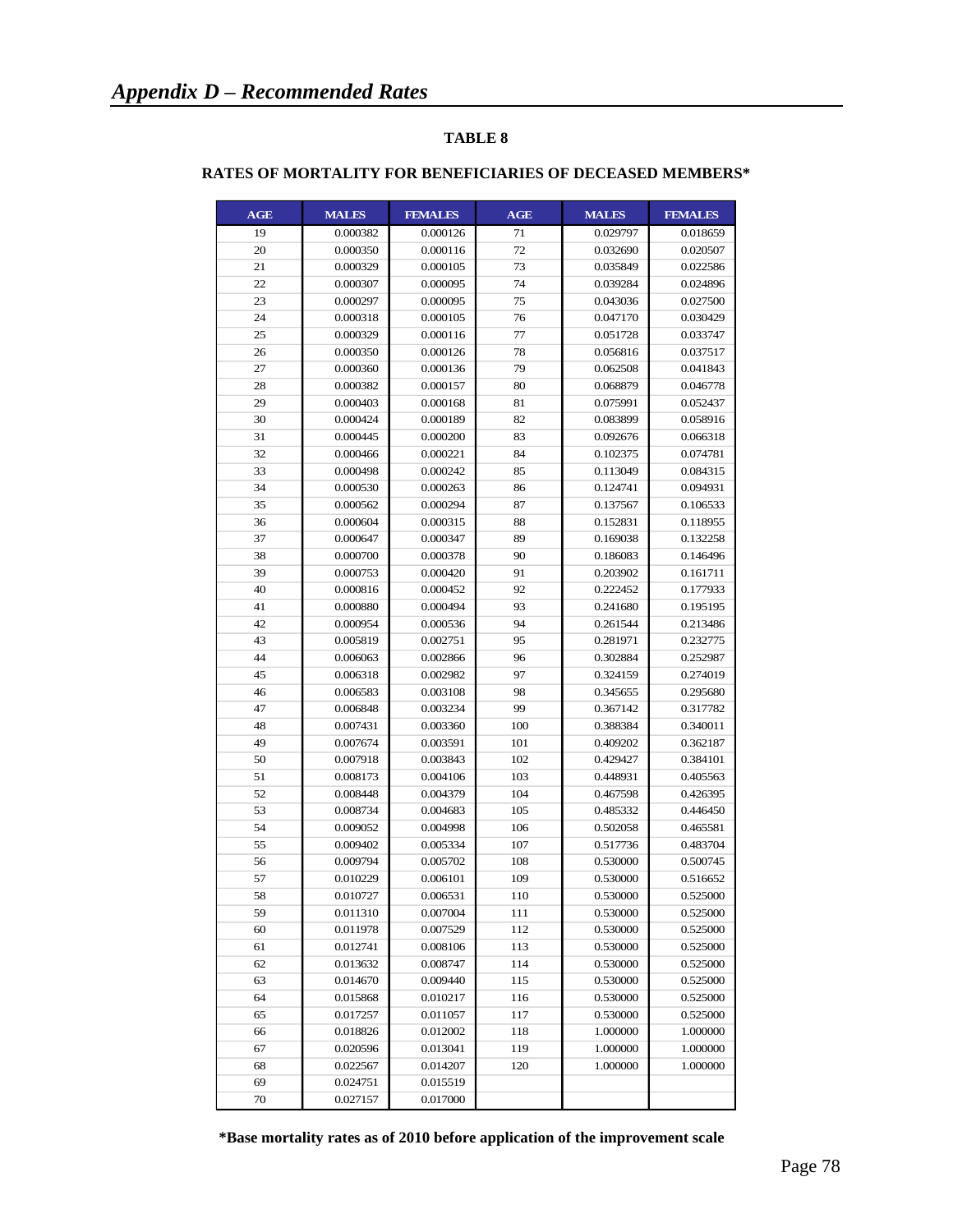| <b>AGE</b> | <b>MALES</b> | <b>FEMALES</b> | <b>AGE</b> | <b>MALES</b> | <b>FEMALES</b> |
|------------|--------------|----------------|------------|--------------|----------------|
| 19         | 0.000382     | 0.000126       | 71         | 0.029797     | 0.018659       |
| 20         | 0.000350     | 0.000116       | 72         | 0.032690     | 0.020507       |
| 21         | 0.000329     | 0.000105       | 73         | 0.035849     | 0.022586       |
| 22         | 0.000307     | 0.000095       | 74         | 0.039284     | 0.024896       |
| 23         | 0.000297     | 0.000095       | 75         | 0.043036     | 0.027500       |
| 24         | 0.000318     | 0.000105       | 76         | 0.047170     | 0.030429       |
| 25         | 0.000329     | 0.000116       | 77         | 0.051728     | 0.033747       |
| 26         | 0.000350     | 0.000126       | 78         | 0.056816     | 0.037517       |
| 27         | 0.000360     | 0.000136       | 79         | 0.062508     | 0.041843       |
| 28         | 0.000382     | 0.000157       | 80         | 0.068879     | 0.046778       |
| 29         | 0.000403     | 0.000168       | 81         | 0.075991     | 0.052437       |
| 30         | 0.000424     | 0.000189       | 82         | 0.083899     | 0.058916       |
| 31         | 0.000445     | 0.000200       | 83         | 0.092676     | 0.066318       |
| 32         | 0.000466     | 0.000221       | 84         | 0.102375     | 0.074781       |
| 33         | 0.000498     | 0.000242       | 85         | 0.113049     | 0.084315       |
| 34         | 0.000530     | 0.000263       | 86         | 0.124741     | 0.094931       |
| 35         | 0.000562     | 0.000294       | 87         | 0.137567     | 0.106533       |
| 36         | 0.000604     | 0.000315       | 88         | 0.152831     | 0.118955       |
| 37         | 0.000647     | 0.000347       | 89         | 0.169038     | 0.132258       |
| 38         | 0.000700     | 0.000378       | 90         | 0.186083     | 0.146496       |
| 39         | 0.000753     | 0.000420       | 91         | 0.203902     | 0.161711       |
| 40         | 0.000816     | 0.000452       | 92         | 0.222452     | 0.177933       |
| 41         | 0.000880     | 0.000494       | 93         | 0.241680     | 0.195195       |
| 42         | 0.000954     | 0.000536       | 94         | 0.261544     | 0.213486       |
| 43         | 0.005819     | 0.002751       | 95         | 0.281971     | 0.232775       |
| 44         | 0.006063     | 0.002866       | 96         | 0.302884     | 0.252987       |
| 45         | 0.006318     | 0.002982       | 97         | 0.324159     | 0.274019       |
| 46         | 0.006583     | 0.003108       | 98         | 0.345655     | 0.295680       |
| 47         | 0.006848     | 0.003234       | 99         | 0.367142     | 0.317782       |
| 48         | 0.007431     | 0.003360       | 100        | 0.388384     | 0.340011       |
| 49         | 0.007674     | 0.003591       | 101        | 0.409202     | 0.362187       |
| 50         | 0.007918     | 0.003843       | 102        | 0.429427     | 0.384101       |
| 51         | 0.008173     | 0.004106       | 103        | 0.448931     | 0.405563       |
| 52         | 0.008448     | 0.004379       | 104        | 0.467598     | 0.426395       |
| 53         | 0.008734     | 0.004683       | 105        | 0.485332     | 0.446450       |
| 54         | 0.009052     | 0.004998       | 106        | 0.502058     | 0.465581       |
| 55         | 0.009402     | 0.005334       | 107        | 0.517736     | 0.483704       |
| 56         | 0.009794     | 0.005702       | 108        | 0.530000     | 0.500745       |
| 57         | 0.010229     | 0.006101       | 109        | 0.530000     | 0.516652       |
| 58         | 0.010727     | 0.006531       | 110        | 0.530000     | 0.525000       |
| 59         | 0.011310     | 0.007004       | 111        | 0.530000     | 0.525000       |
| 60         | 0.011978     | 0.007529       | 112        | 0.530000     | 0.525000       |
| 61         | 0.012741     | 0.008106       | 113        | 0.530000     | 0.525000       |
| 62         | 0.013632     | 0.008747       | 114        | 0.530000     | 0.525000       |
| 63         | 0.014670     | 0.009440       | 115        | 0.530000     | 0.525000       |
| 64         | 0.015868     | 0.010217       | 116        | 0.530000     | 0.525000       |
| 65         | 0.017257     | 0.011057       | 117        | 0.530000     | 0.525000       |
| 66         | 0.018826     | 0.012002       | 118        | 1.000000     | 1.000000       |
| 67         | 0.020596     | 0.013041       | 119        | 1.000000     | 1.000000       |
| 68         | 0.022567     | 0.014207       | 120        | 1.000000     | 1.000000       |
| 69         | 0.024751     | 0.015519       |            |              |                |
| 70         | 0.027157     | 0.017000       |            |              |                |

#### **RATES OF MORTALITY FOR BENEFICIARIES OF DECEASED MEMBERS\***

 **\*Base mortality rates as of 2010 before application of the improvement scale**